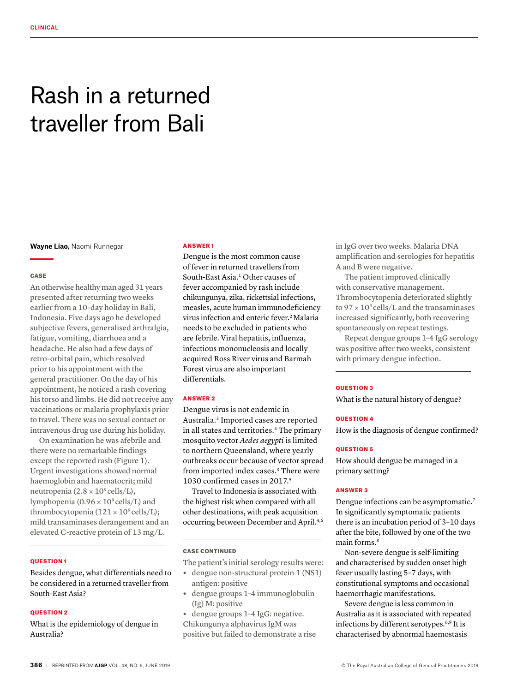# Rash in a returned traveller from Bali

**Wayne Liao,** Naomi Runnegar

#### **CASE**

An otherwise healthy man aged 31 years presented after returning two weeks earlier from a 10-day holiday in Bali, Indonesia. Five days ago he developed subjective fevers, generalised arthralgia, fatigue, vomiting, diarrhoea and a headache. He also had a few days of retro-orbital pain, which resolved prior to his appointment with the general practitioner. On the day of his appointment, he noticed a rash covering his torso and limbs. He did not receive any vaccinations or malaria prophylaxis prior to travel. There was no sexual contact or intravenous drug use during his holiday.

On examination he was afebrile and there were no remarkable findings except the reported rash (Figure 1). Urgent investigations showed normal haemoglobin and haematocrit; mild neutropenia  $(2.8 \times 10^9 \text{ cells/L}),$ lymphopenia ( $0.96 \times 10^9$  cells/L) and thrombocytopenia  $(121 \times 10^9 \text{ cells/L});$ mild transaminases derangement and an elevated C-reactive protein of 13 mg/L.

#### QUESTION 1

Besides dengue, what differentials need to be considered in a returned traveller from South-East Asia?

## QUESTION 2

What is the epidemiology of dengue in Australia?

#### ANSWER 1

Dengue is the most common cause of fever in returned travellers from South-East Asia.<sup>1</sup> Other causes of fever accompanied by rash include chikungunya, zika, rickettsial infections, measles, acute human immunodeficiency virus infection and enteric fever.<sup>2</sup> Malaria needs to be excluded in patients who are febrile. Viral hepatitis, influenza, infectious mononucleosis and locally acquired Ross River virus and Barmah Forest virus are also important differentials.

#### ANSWER 2

Dengue virus is not endemic in Australia.3 Imported cases are reported in all states and territories.<sup>4</sup> The primary mosquito vector *Aedes aegypti* is limited to northern Queensland, where yearly outbreaks occur because of vector spread from imported index cases.<sup>3</sup> There were 1030 confirmed cases in 2017.5

Travel to Indonesia is associated with the highest risk when compared with all other destinations, with peak acquisition occurring between December and April.4,6

#### CASE CONTINUED

The patient's initial serology results were:

- **•** dengue non-structural protein 1 (NS1) antigen: positive
- **•** dengue groups 1–4 immunoglobulin (Ig) M: positive

**•** dengue groups 1–4 IgG: negative. Chikungunya alphavirus IgM was positive but failed to demonstrate a rise in IgG over two weeks. Malaria DNA amplification and serologies for hepatitis A and B were negative.

The patient improved clinically with conservative management. Thrombocytopenia deteriorated slightly to  $97 \times 10^9$  cells/L and the transaminases increased significantly, both recovering spontaneously on repeat testings.

Repeat dengue groups 1–4 IgG serology was positive after two weeks, consistent with primary dengue infection.

#### **OUESTION 3**

What is the natural history of dengue?

#### QUESTION 4

How is the diagnosis of dengue confirmed?

## **OUESTION 5**

How should dengue be managed in a primary setting?

## ANSWER 3

Dengue infections can be asymptomatic.7 In significantly symptomatic patients there is an incubation period of 3–10 days after the bite, followed by one of the two main forms.<sup>8</sup>

Non-severe dengue is self-limiting and characterised by sudden onset high fever usually lasting 5–7 days, with constitutional symptoms and occasional haemorrhagic manifestations.

Severe dengue is less common in Australia as it is associated with repeated infections by different serotypes.<sup>6,9</sup> It is characterised by abnormal haemostasis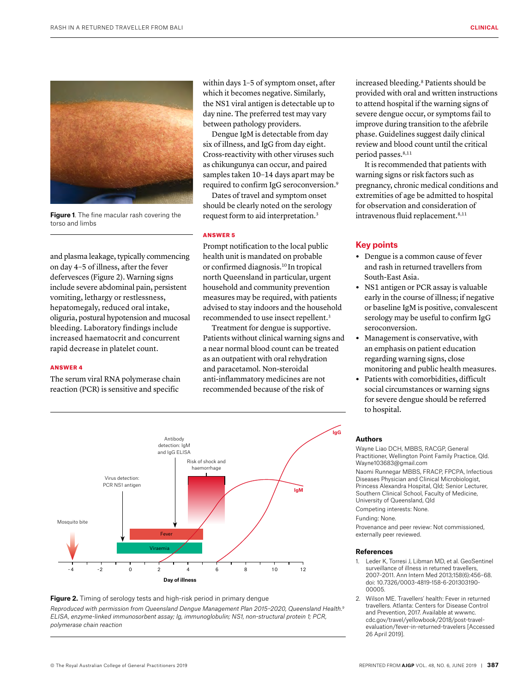

**Figure 1**. The fine macular rash covering the torso and limbs

and plasma leakage, typically commencing on day 4–5 of illness, after the fever defervesces (Figure 2). Warning signs include severe abdominal pain, persistent vomiting, lethargy or restlessness, hepatomegaly, reduced oral intake, oliguria, postural hypotension and mucosal bleeding. Laboratory findings include increased haematocrit and concurrent rapid decrease in platelet count.

## ANSWER 4

The serum viral RNA polymerase chain reaction (PCR) is sensitive and specific

within days 1–5 of symptom onset, after which it becomes negative. Similarly, the NS1 viral antigen is detectable up to day nine. The preferred test may vary between pathology providers.

Dengue IgM is detectable from day six of illness, and IgG from day eight. Cross-reactivity with other viruses such as chikungunya can occur, and paired samples taken 10–14 days apart may be required to confirm IgG seroconversion.9

Dates of travel and symptom onset should be clearly noted on the serology request form to aid interpretation.3

#### ANSWER 5

Prompt notification to the local public health unit is mandated on probable or confirmed diagnosis.10 In tropical north Queensland in particular, urgent household and community prevention measures may be required, with patients advised to stay indoors and the household recommended to use insect repellent.3

Treatment for dengue is supportive. Patients without clinical warning signs and a near normal blood count can be treated as an outpatient with oral rehydration and paracetamol. Non-steroidal anti-inflammatory medicines are not recommended because of the risk of

increased bleeding.8 Patients should be provided with oral and written instructions to attend hospital if the warning signs of severe dengue occur, or symptoms fail to improve during transition to the afebrile phase. Guidelines suggest daily clinical review and blood count until the critical period passes.<sup>8,11</sup>

It is recommended that patients with warning signs or risk factors such as pregnancy, chronic medical conditions and extremities of age be admitted to hospital for observation and consideration of intravenous fluid replacement.<sup>8,11</sup>

#### **Key points**

- **•** Dengue is a common cause of fever and rash in returned travellers from South-East Asia.
- **•** NS1 antigen or PCR assay is valuable early in the course of illness; if negative or baseline IgM is positive, convalescent serology may be useful to confirm IgG seroconversion.
- **•** Management is conservative, with an emphasis on patient education regarding warning signs, close monitoring and public health measures.
- **•** Patients with comorbidities, difficult social circumstances or warning signs for severe dengue should be referred to hospital.



### **Figure 2.** Timing of serology tests and high-risk period in primary dengue

*Reproduced with permission from Queensland Dengue Management Plan 2015–2020, Queensland Health.9 ELISA, enzyme-linked immunosorbent assay; Ig, immunoglobulin; NS1, non-structural protein 1; PCR, polymerase chain reaction*

#### **Authors**

Wayne Liao DCH, MBBS, RACGP, General Practitioner, Wellington Point Family Practice, Qld. Wayne103683@gmail.com

Naomi Runnegar MBBS, FRACP, FPCPA, Infectious Diseases Physician and Clinical Microbiologist, Princess Alexandra Hospital, Qld; Senior Lecturer, Southern Clinical School, Faculty of Medicine, University of Queensland, Qld

Competing interests: None.

## Funding: None.

Provenance and peer review: Not commissioned, externally peer reviewed.

#### **References**

- 1. Leder K, Torresi J, Libman MD, et al. GeoSentinel surveillance of illness in returned travellers, 2007–2011. Ann Intern Med 2013;158(6):456–68. doi: 10.7326/0003-4819-158-6-201303190- 00005.
- 2. Wilson ME. Travellers' health: Fever in returned travellers. Atlanta: Centers for Disease Control and Prevention, 2017. Available at wwwnc. cdc.gov/travel/yellowbook/2018/post-travelevaluation/fever-in-returned-travelers [Accessed 26 April 2019].